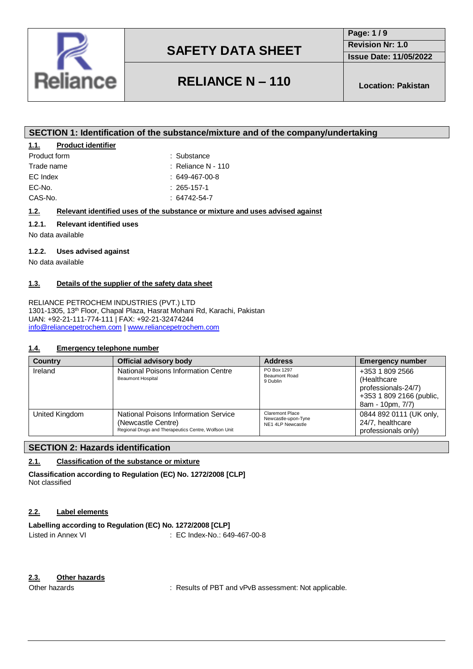

**RELIANCE N – 110 Location: Pakistan**

**Revision Nr: 1.0 Issue Date: 11/05/2022**

**Page: 1 / 9**

### **SECTION 1: Identification of the substance/mixture and of the company/undertaking**

### **1.1. Product identifier**

| Product form | : Substance          |
|--------------|----------------------|
| Trade name   | $:$ Reliance N - 110 |
| EC Index     | $: 649-467-00-8$     |
| EC-No.       | $: 265 - 157 - 1$    |
| CAS-No.      | : 64742-54-7         |
|              |                      |

### **1.2. Relevant identified uses of the substance or mixture and uses advised against**

### **1.2.1. Relevant identified uses**

No data available

#### **1.2.2. Uses advised against**

No data available

### **1.3. Details of the supplier of the safety data sheet**

RELIANCE PETROCHEM INDUSTRIES (PVT.) LTD 1301-1305, 13th Floor, Chapal Plaza, Hasrat Mohani Rd, Karachi, Pakistan UAN: +92-21-111-774-111 | FAX: +92-21-32474244 [info@reliancepetrochem.com](mailto:info@reliancepetrochem.com) [| www.reliancepetrochem.com](http://www.reliancepetrochem.com/)

#### **1.4. Emergency telephone number**

| <b>Country</b> | <b>Official advisory body</b>                                                                                      | <b>Address</b>                                                     | <b>Emergency number</b>                                                                                |
|----------------|--------------------------------------------------------------------------------------------------------------------|--------------------------------------------------------------------|--------------------------------------------------------------------------------------------------------|
| Ireland        | National Poisons Information Centre<br><b>Beaumont Hospital</b>                                                    | PO Box 1297<br><b>Beaumont Road</b><br>9 Dublin                    | +353 1 809 2566<br>(Healthcare)<br>professionals-24/7)<br>+353 1 809 2166 (public,<br>8am - 10pm, 7/7) |
| United Kingdom | National Poisons Information Service<br>(Newcastle Centre)<br>Regional Drugs and Therapeutics Centre, Wolfson Unit | <b>Claremont Place</b><br>Newcastle-upon-Tyne<br>NE1 4LP Newcastle | 0844 892 0111 (UK only,<br>24/7, healthcare<br>professionals only)                                     |

### **SECTION 2: Hazards identification**

### **2.1. Classification of the substance or mixture**

**Classification according to Regulation (EC) No. 1272/2008 [CLP]** Not classified

#### **2.2. Label elements**

### **Labelling according to Regulation (EC) No. 1272/2008 [CLP]** Listed in Annex VI : EC Index-No.: 649-467-00-8

### **2.3. Other hazards**

Other hazards **in the state of PBT** and vPvB assessment: Not applicable.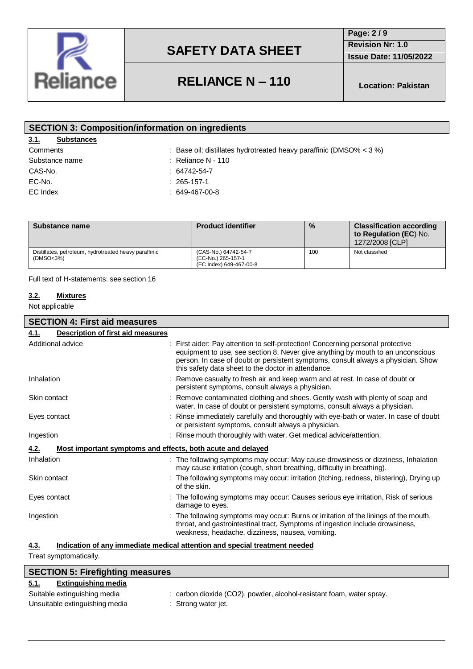

**Page: 2 / 9 Revision Nr: 1.0**

**Issue Date: 11/05/2022**

# **RELIANCE N – 110 Location: Pakistan**

| <b>SECTION 3: Composition/information on ingredients</b> |                                                                       |  |  |
|----------------------------------------------------------|-----------------------------------------------------------------------|--|--|
| 3.1.<br><b>Substances</b>                                |                                                                       |  |  |
| Comments                                                 | : Base oil: distillates hydrotreated heavy paraffinic (DMSO% $<$ 3 %) |  |  |
| Substance name                                           | $\therefore$ Reliance N - 110                                         |  |  |
| CAS-No.                                                  | $: 64742 - 54 - 7$                                                    |  |  |
| EC-No.                                                   | $: 265 - 157 - 1$                                                     |  |  |
| EC Index                                                 | $: 649-467-00-8$                                                      |  |  |
|                                                          |                                                                       |  |  |

| Substance name                                                     | <b>Product identifier</b>                                             | $\%$ | <b>Classification according</b><br>to Regulation (EC) No.<br>1272/2008 [CLP] |
|--------------------------------------------------------------------|-----------------------------------------------------------------------|------|------------------------------------------------------------------------------|
| Distillates, petroleum, hydrotreated heavy paraffinic<br>(DMSO<3%) | (CAS-No.) 64742-54-7<br>(EC-No.) 265-157-1<br>(EC Index) 649-467-00-8 | 100  | Not classified                                                               |

Full text of H-statements: see section 16

### **3.2. Mixtures**

Not applicable

| <b>SECTION 4: First aid measures</b>                                               |                                                                                                                                                                                                                                                                                                                |  |  |
|------------------------------------------------------------------------------------|----------------------------------------------------------------------------------------------------------------------------------------------------------------------------------------------------------------------------------------------------------------------------------------------------------------|--|--|
| <b>Description of first aid measures</b><br>4.1.                                   |                                                                                                                                                                                                                                                                                                                |  |  |
| Additional advice                                                                  | : First aider: Pay attention to self-protection! Concerning personal protective<br>equipment to use, see section 8. Never give anything by mouth to an unconscious<br>person. In case of doubt or persistent symptoms, consult always a physician. Show<br>this safety data sheet to the doctor in attendance. |  |  |
| Inhalation                                                                         | : Remove casualty to fresh air and keep warm and at rest. In case of doubt or<br>persistent symptoms, consult always a physician.                                                                                                                                                                              |  |  |
| Skin contact                                                                       | : Remove contaminated clothing and shoes. Gently wash with plenty of soap and<br>water. In case of doubt or persistent symptoms, consult always a physician.                                                                                                                                                   |  |  |
| Eyes contact                                                                       | : Rinse immediately carefully and thoroughly with eye-bath or water. In case of doubt<br>or persistent symptoms, consult always a physician.                                                                                                                                                                   |  |  |
| Ingestion                                                                          | : Rinse mouth thoroughly with water. Get medical advice/attention.                                                                                                                                                                                                                                             |  |  |
| Most important symptoms and effects, both acute and delayed<br>4.2.                |                                                                                                                                                                                                                                                                                                                |  |  |
| Inhalation                                                                         | : The following symptoms may occur: May cause drowsiness or dizziness, Inhalation<br>may cause irritation (cough, short breathing, difficulty in breathing).                                                                                                                                                   |  |  |
| Skin contact                                                                       | : The following symptoms may occur: irritation (itching, redness, blistering), Drying up<br>of the skin.                                                                                                                                                                                                       |  |  |
| Eyes contact                                                                       | : The following symptoms may occur: Causes serious eye irritation, Risk of serious<br>damage to eyes.                                                                                                                                                                                                          |  |  |
| Ingestion                                                                          | : The following symptoms may occur: Burns or irritation of the linings of the mouth,<br>throat, and gastrointestinal tract, Symptoms of ingestion include drowsiness,<br>weakness, headache, dizziness, nausea, vomiting.                                                                                      |  |  |
| Indication of any immediate medical attention and special treatment needed<br>4.3. |                                                                                                                                                                                                                                                                                                                |  |  |

Treat symptomatically.

| <b>SECTION 5: Firefighting measures</b> |                                                                      |
|-----------------------------------------|----------------------------------------------------------------------|
| Extinguishing media<br><u>5.1.</u>      |                                                                      |
| Suitable extinguishing media            | : carbon dioxide (CO2), powder, alcohol-resistant foam, water spray. |
| Unsuitable extinguishing media          | : Strong water jet.                                                  |
|                                         |                                                                      |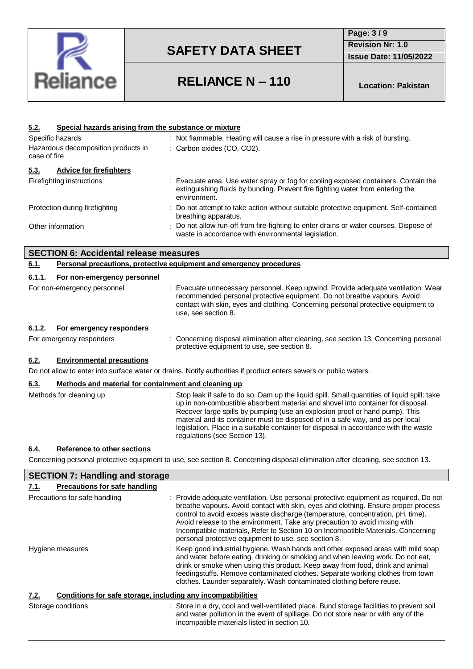

**Page: 3 / 9 Revision Nr: 1.0 Issue Date: 11/05/2022**

# **RELIANCE N – 110 Location: Pakistan**

| Special hazards arising from the substance or mixture<br><u>5.2.</u>                                |                                                                                                                                                                                                                                                                                                                                                                                                                                                                             |
|-----------------------------------------------------------------------------------------------------|-----------------------------------------------------------------------------------------------------------------------------------------------------------------------------------------------------------------------------------------------------------------------------------------------------------------------------------------------------------------------------------------------------------------------------------------------------------------------------|
| Specific hazards<br>: Not flammable. Heating will cause a rise in pressure with a risk of bursting. |                                                                                                                                                                                                                                                                                                                                                                                                                                                                             |
| Hazardous decomposition products in                                                                 | : Carbon oxides (CO, CO2).                                                                                                                                                                                                                                                                                                                                                                                                                                                  |
| case of fire                                                                                        |                                                                                                                                                                                                                                                                                                                                                                                                                                                                             |
| 5.3.<br><b>Advice for firefighters</b>                                                              |                                                                                                                                                                                                                                                                                                                                                                                                                                                                             |
| Firefighting instructions                                                                           | Evacuate area. Use water spray or fog for cooling exposed containers. Contain the<br>extinguishing fluids by bunding. Prevent fire fighting water from entering the<br>environment.                                                                                                                                                                                                                                                                                         |
| Protection during firefighting                                                                      | : Do not attempt to take action without suitable protective equipment. Self-contained<br>breathing apparatus.                                                                                                                                                                                                                                                                                                                                                               |
| Other information                                                                                   | Do not allow run-off from fire-fighting to enter drains or water courses. Dispose of<br>waste in accordance with environmental legislation.                                                                                                                                                                                                                                                                                                                                 |
| <b>SECTION 6: Accidental release measures</b>                                                       |                                                                                                                                                                                                                                                                                                                                                                                                                                                                             |
| 6.1.                                                                                                | <b>Personal precautions, protective equipment and emergency procedures</b>                                                                                                                                                                                                                                                                                                                                                                                                  |
| 6.1.1.<br>For non-emergency personnel                                                               |                                                                                                                                                                                                                                                                                                                                                                                                                                                                             |
| For non-emergency personnel                                                                         | Evacuate unnecessary personnel. Keep upwind. Provide adequate ventilation. Wear<br>recommended personal protective equipment. Do not breathe vapours. Avoid<br>contact with skin, eyes and clothing. Concerning personal protective equipment to<br>use, see section 8.                                                                                                                                                                                                     |
| 6.1.2.<br>For emergency responders                                                                  |                                                                                                                                                                                                                                                                                                                                                                                                                                                                             |
| For emergency responders                                                                            | Concerning disposal elimination after cleaning, see section 13. Concerning personal<br>protective equipment to use, see section 8.                                                                                                                                                                                                                                                                                                                                          |
| <b>Environmental precautions</b><br>6.2.                                                            |                                                                                                                                                                                                                                                                                                                                                                                                                                                                             |
|                                                                                                     | Do not allow to enter into surface water or drains. Notify authorities if product enters sewers or public waters.                                                                                                                                                                                                                                                                                                                                                           |
| Methods and material for containment and cleaning up<br>6.3.                                        |                                                                                                                                                                                                                                                                                                                                                                                                                                                                             |
| Methods for cleaning up                                                                             | : Stop leak if safe to do so. Dam up the liquid spill. Small quantities of liquid spill: take<br>up in non-combustible absorbent material and shovel into container for disposal.<br>Recover large spills by pumping (use an explosion proof or hand pump). This<br>material and its container must be disposed of in a safe way, and as per local<br>legislation. Place in a suitable container for disposal in accordance with the waste<br>regulations (see Section 13). |
| Reference to other sections<br>6.4.                                                                 |                                                                                                                                                                                                                                                                                                                                                                                                                                                                             |

Concerning personal protective equipment to use, see section 8. Concerning disposal elimination after cleaning, see section 13.

| <b>SECTION 7: Handling and storage</b>                               |                                                                                                                                                                                                                                                                                                                                                                                                                                                                                           |
|----------------------------------------------------------------------|-------------------------------------------------------------------------------------------------------------------------------------------------------------------------------------------------------------------------------------------------------------------------------------------------------------------------------------------------------------------------------------------------------------------------------------------------------------------------------------------|
| Precautions for safe handling<br>7.1.                                |                                                                                                                                                                                                                                                                                                                                                                                                                                                                                           |
| Precautions for safe handling                                        | : Provide adequate ventilation. Use personal protective equipment as required. Do not<br>breathe vapours. Avoid contact with skin, eyes and clothing. Ensure proper process<br>control to avoid excess waste discharge (temperature, concentration, pH, time).<br>Avoid release to the environment. Take any precaution to avoid mixing with<br>Incompatible materials, Refer to Section 10 on Incompatible Materials. Concerning<br>personal protective equipment to use, see section 8. |
| Hygiene measures                                                     | : Keep good industrial hygiene. Wash hands and other exposed areas with mild soap<br>and water before eating, drinking or smoking and when leaving work. Do not eat,<br>drink or smoke when using this product. Keep away from food, drink and animal<br>feedingstuffs. Remove contaminated clothes. Separate working clothes from town<br>clothes. Launder separately. Wash contaminated clothing before reuse.                                                                          |
| Conditions for safe storage, including any incompatibilities<br>7.2. |                                                                                                                                                                                                                                                                                                                                                                                                                                                                                           |
| Storage conditions                                                   | : Store in a dry, cool and well-ventilated place. Bund storage facilities to prevent soil<br>and water pollution in the event of spillage. Do not store near or with any of the<br>incompatible materials listed in section 10.                                                                                                                                                                                                                                                           |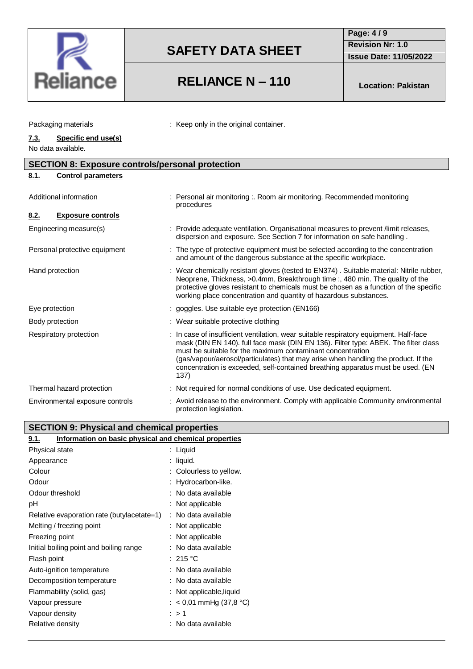

### **RELIANCE N – 110 Location: Pakistan**

**Page: 4 / 9 Revision Nr: 1.0**

**Issue Date: 11/05/2022**

| Packaging materials | : Keep only in the original container. |
|---------------------|----------------------------------------|
|---------------------|----------------------------------------|

### **7.3. Specific end use(s)**

No data available.

| <b>SECTION 8: Exposure controls/personal protection</b> |                                                                                                                                                                                                                                                                                                                                                                                                                             |  |  |
|---------------------------------------------------------|-----------------------------------------------------------------------------------------------------------------------------------------------------------------------------------------------------------------------------------------------------------------------------------------------------------------------------------------------------------------------------------------------------------------------------|--|--|
| <b>Control parameters</b><br>8.1.                       |                                                                                                                                                                                                                                                                                                                                                                                                                             |  |  |
| Additional information                                  | : Personal air monitoring :. Room air monitoring. Recommended monitoring<br>procedures                                                                                                                                                                                                                                                                                                                                      |  |  |
| <b>Exposure controls</b><br><u>8.2.</u>                 |                                                                                                                                                                                                                                                                                                                                                                                                                             |  |  |
| Engineering measure(s)                                  | : Provide adequate ventilation. Organisational measures to prevent /limit releases,<br>dispersion and exposure. See Section 7 for information on safe handling.                                                                                                                                                                                                                                                             |  |  |
| Personal protective equipment                           | : The type of protective equipment must be selected according to the concentration<br>and amount of the dangerous substance at the specific workplace.                                                                                                                                                                                                                                                                      |  |  |
| Hand protection                                         | : Wear chemically resistant gloves (tested to EN374). Suitable material: Nitrile rubber,<br>Neoprene, Thickness, >0.4mm, Breakthrough time :, 480 min. The quality of the<br>protective gloves resistant to chemicals must be chosen as a function of the specific<br>working place concentration and quantity of hazardous substances.                                                                                     |  |  |
| Eye protection                                          | : goggles. Use suitable eye protection (EN166)                                                                                                                                                                                                                                                                                                                                                                              |  |  |
| Body protection                                         | : Wear suitable protective clothing                                                                                                                                                                                                                                                                                                                                                                                         |  |  |
| Respiratory protection                                  | : In case of insufficient ventilation, wear suitable respiratory equipment. Half-face<br>mask (DIN EN 140). full face mask (DIN EN 136). Filter type: ABEK. The filter class<br>must be suitable for the maximum contaminant concentration<br>(gas/vapour/aerosol/particulates) that may arise when handling the product. If the<br>concentration is exceeded, self-contained breathing apparatus must be used. (EN<br>137) |  |  |
| Thermal hazard protection                               | : Not required for normal conditions of use. Use dedicated equipment.                                                                                                                                                                                                                                                                                                                                                       |  |  |
| Environmental exposure controls                         | : Avoid release to the environment. Comply with applicable Community environmental<br>protection legislation.                                                                                                                                                                                                                                                                                                               |  |  |

### **SECTION 9: Physical and chemical properties**

| Information on basic physical and chemical properties<br>9.1. |                           |
|---------------------------------------------------------------|---------------------------|
| Physical state                                                | : Liquid                  |
| Appearance                                                    | : liquid.                 |
| Colour                                                        | : Colourless to yellow.   |
| Odour                                                         | : Hydrocarbon-like.       |
| Odour threshold                                               | : No data available       |
| рH                                                            | : Not applicable          |
| Relative evaporation rate (butylacetate=1)                    | : No data available       |
| Melting / freezing point                                      | : Not applicable          |
| Freezing point                                                | : Not applicable          |
| Initial boiling point and boiling range                       | : No data available       |
| Flash point                                                   | : 215 °C                  |
| Auto-ignition temperature                                     | : No data available       |
| Decomposition temperature                                     | : No data available       |
| Flammability (solid, gas)                                     | : Not applicable, liquid  |
| Vapour pressure                                               | : $<$ 0,01 mmHg (37,8 °C) |
| Vapour density                                                | :>1                       |
| Relative density                                              | No data available         |
|                                                               |                           |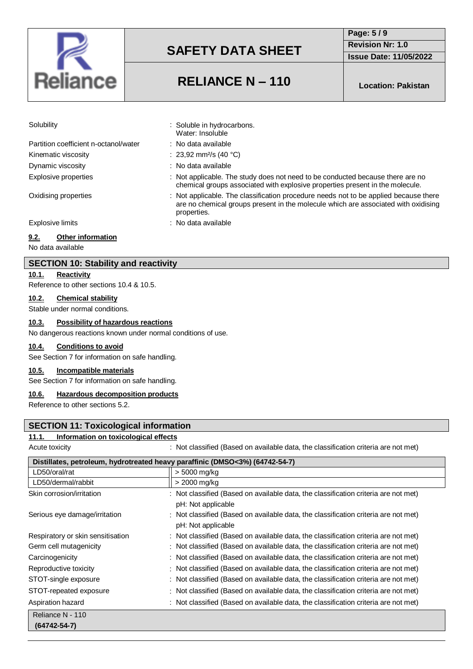

**Page: 5 / 9 Revision Nr: 1.0**

**Issue Date: 11/05/2022**

### **RELIANCE N – 110 Location: Pakistan**

: Not applicable. The study does not need to be conducted because there are no chemical groups associated with explosive properties present in the molecule.

are no chemical groups present in the molecule which are associated with oxidising

: Soluble in hydrocarbons. Water: Insoluble : No data available : 23,92 mm<sup>2</sup>/s (40 °C) : No data available

properties.

| Solubility |  |  |
|------------|--|--|
|            |  |  |

| Partition coefficient n-octanol/water |
|---------------------------------------|
| Kinematic viscosity                   |
| Dynamic viscosity                     |
| Explosive properties                  |

Oxidising properties : Not applicable. The classification procedure needs not to be applied because there

Explosive limits **Explosive limits Explosive limits Explosive limits EXPLOSIVE 2** 

### **9.2. Other information**

No data available

### **SECTION 10: Stability and reactivity**

**10.1. Reactivity**

Reference to other sections 10.4 & 10.5.

#### **10.2. Chemical stability**

Stable under normal conditions.

### **10.3. Possibility of hazardous reactions**

No dangerous reactions known under normal conditions of use.

#### **10.4. Conditions to avoid**

See Section 7 for information on safe handling.

#### **10.5. Incompatible materials**

See Section 7 for information on safe handling.

#### **10.6. Hazardous decomposition products**

Reference to other sections 5.2.

### **SECTION 11: Toxicological information**

#### **11.1. Information on toxicological effects**

Acute toxicity **interval on a set of classified (Based on available data, the classification criteria are not met)** 

|                                   | Distillates, petroleum, hydrotreated heavy paraffinic (DMSO<3%) (64742-54-7)                                  |
|-----------------------------------|---------------------------------------------------------------------------------------------------------------|
| LD50/oral/rat                     | > 5000 mg/kg                                                                                                  |
| LD50/dermal/rabbit                | > 2000 mg/kg                                                                                                  |
| Skin corrosion/irritation         | : Not classified (Based on available data, the classification criteria are not met)<br>pH: Not applicable     |
| Serious eye damage/irritation     | $\pm$ Not classified (Based on available data, the classification criteria are not met)<br>pH: Not applicable |
| Respiratory or skin sensitisation | Not classified (Based on available data, the classification criteria are not met)<br>÷                        |
| Germ cell mutagenicity            | : Not classified (Based on available data, the classification criteria are not met)                           |
| Carcinogenicity                   | : Not classified (Based on available data, the classification criteria are not met)                           |
| Reproductive toxicity             | Not classified (Based on available data, the classification criteria are not met)<br>÷                        |
| STOT-single exposure              | : Not classified (Based on available data, the classification criteria are not met)                           |
| STOT-repeated exposure            | : Not classified (Based on available data, the classification criteria are not met)                           |
| Aspiration hazard                 | : Not classified (Based on available data, the classification criteria are not met)                           |
| Reliance N - 110                  |                                                                                                               |
| $(64742 - 54 - 7)$                |                                                                                                               |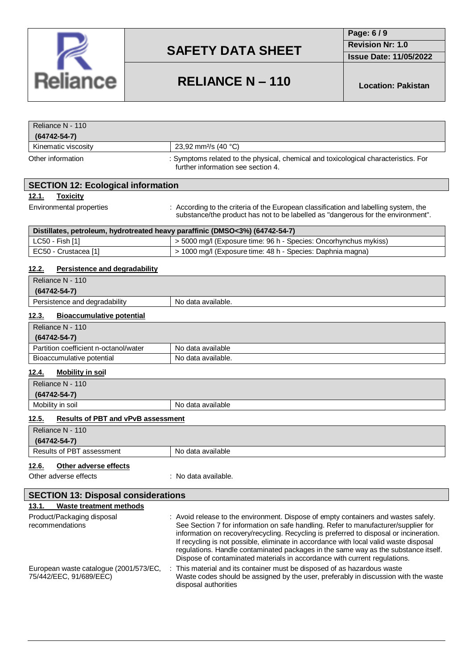

**Page: 6 / 9**

**Revision Nr: 1.0**

**Issue Date: 11/05/2022**

### **RELIANCE N – 110 Location: Pakistan**

| Reliance N - 110<br>$(64742 - 54 - 7)$ |                                                                                                                           |
|----------------------------------------|---------------------------------------------------------------------------------------------------------------------------|
| Kinematic viscosity                    | 23,92 mm <sup>2</sup> /s (40 °C)                                                                                          |
| Other information                      | : Symptoms related to the physical, chemical and toxicological characteristics. For<br>further information see section 4. |

### **SECTION 12: Ecological information**

#### **12.1. Toxicity**

Environmental properties : According to the criteria of the European classification and labelling system, the substance/the product has not to be labelled as "dangerous for the environment".

| Distillates, petroleum, hydrotreated heavy paraffinic (DMSO<3%) (64742-54-7) |                                                                  |  |
|------------------------------------------------------------------------------|------------------------------------------------------------------|--|
| $LC50 - Fish [1]$                                                            | > 5000 mg/l (Exposure time: 96 h - Species: Oncorhynchus mykiss) |  |
| EC50 - Crustacea [1]                                                         | > 1000 mg/l (Exposure time: 48 h - Species: Daphnia magna)       |  |

### **12.2. Persistence and degradability**

| Reliance N - 110                         |                    |
|------------------------------------------|--------------------|
| $(64742 - 54 - 7)$                       |                    |
| Persistence and degradability            | No data available. |
| 12 3<br><b>Riogecumulative notential</b> |                    |

#### **12.3. Bioaccumulative potential**

| Reliance N - 110                      |                    |
|---------------------------------------|--------------------|
| $(64742 - 54 - 7)$                    |                    |
| Partition coefficient n-octanol/water | No data available  |
| Bioaccumulative potential             | No data available. |

### **12.4. Mobility in soil**

| Reliance N - 110                                          |                   |  |  |
|-----------------------------------------------------------|-------------------|--|--|
| (64742-54-7)                                              |                   |  |  |
| Mobility in soil                                          | No data available |  |  |
| <u>12.5.</u><br><b>Results of PBT and vPvB assessment</b> |                   |  |  |

| Reliance N - 110               |                   |
|--------------------------------|-------------------|
| $(64742 - 54 - 7)$             |                   |
| Results of PBT assessment      | No data available |
| 12.6.<br>Other adverse effects |                   |

Other adverse effects : No data available.

| <b>SECTION 13: Disposal considerations</b>                        |                                                                                                                                                                                                                                                                                                                                                                                                                                                                                                                                |  |  |
|-------------------------------------------------------------------|--------------------------------------------------------------------------------------------------------------------------------------------------------------------------------------------------------------------------------------------------------------------------------------------------------------------------------------------------------------------------------------------------------------------------------------------------------------------------------------------------------------------------------|--|--|
| Waste treatment methods<br>13.1.                                  |                                                                                                                                                                                                                                                                                                                                                                                                                                                                                                                                |  |  |
| Product/Packaging disposal<br>recommendations                     | : Avoid release to the environment. Dispose of empty containers and wastes safely.<br>See Section 7 for information on safe handling. Refer to manufacturer/supplier for<br>information on recovery/recycling. Recycling is preferred to disposal or incineration.<br>If recycling is not possible, eliminate in accordance with local valid waste disposal<br>regulations. Handle contaminated packages in the same way as the substance itself.<br>Dispose of contaminated materials in accordance with current regulations. |  |  |
| European waste catalogue (2001/573/EC,<br>75/442/EEC, 91/689/EEC) | : This material and its container must be disposed of as hazardous waste<br>Waste codes should be assigned by the user, preferably in discussion with the waste<br>disposal authorities                                                                                                                                                                                                                                                                                                                                        |  |  |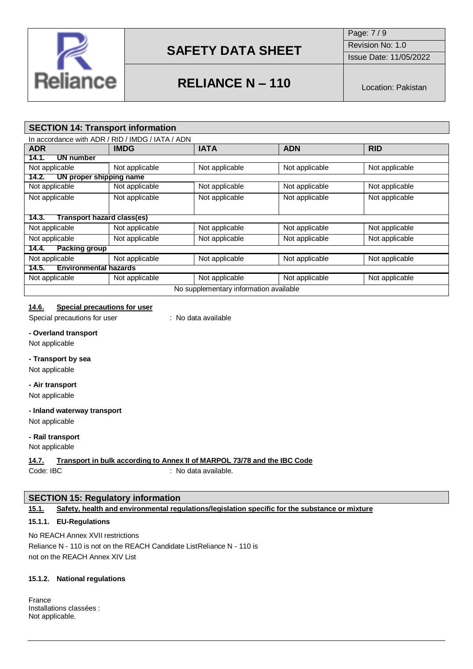

Page: 7 / 9 Revision No: 1.0

Issue Date: 11/05/2022

# **RELIANCE N – 110** Location: Pakistan

### **SECTION 14: Transport information**

|                                        | In accordance with ADR / RID / IMDG / IATA / ADN |                |                |                |
|----------------------------------------|--------------------------------------------------|----------------|----------------|----------------|
| <b>ADR</b>                             | <b>IMDG</b>                                      | <b>IATA</b>    | <b>ADN</b>     | <b>RID</b>     |
| 14.1.<br>UN number                     |                                                  |                |                |                |
| Not applicable                         | Not applicable                                   | Not applicable | Not applicable | Not applicable |
| UN proper shipping name<br>14.2.       |                                                  |                |                |                |
| Not applicable                         | Not applicable                                   | Not applicable | Not applicable | Not applicable |
| Not applicable                         | Not applicable                                   | Not applicable | Not applicable | Not applicable |
|                                        |                                                  |                |                |                |
| Transport hazard class(es)<br>14.3.    |                                                  |                |                |                |
| Not applicable                         | Not applicable                                   | Not applicable | Not applicable | Not applicable |
| Not applicable                         | Not applicable                                   | Not applicable | Not applicable | Not applicable |
| <b>Packing group</b><br>14.4.          |                                                  |                |                |                |
| Not applicable                         | Not applicable                                   | Not applicable | Not applicable | Not applicable |
| <b>Environmental hazards</b><br>14.5.  |                                                  |                |                |                |
| Not applicable                         | Not applicable                                   | Not applicable | Not applicable | Not applicable |
| No supplementary information available |                                                  |                |                |                |

### **14.6. Special precautions for user**

Special precautions for user : No data available

### **- Overland transport**

Not applicable

#### **- Transport by sea**

Not applicable

#### **- Air transport**

Not applicable

### **- Inland waterway transport**

Not applicable

#### **- Rail transport**

Not applicable

### **14.7. Transport in bulk according to Annex II of MARPOL 73/78 and the IBC Code**

Code: IBC : No data available.

### **SECTION 15: Regulatory information**

### **15.1. Safety, health and environmental regulations/legislation specific for the substance or mixture**

### **15.1.1. EU-Regulations**

No REACH Annex XVII restrictions Reliance N - 110 is not on the REACH Candidate ListReliance N - 110 is not on the REACH Annex XIV List

### **15.1.2. National regulations**

France Installations classées : Not applicable.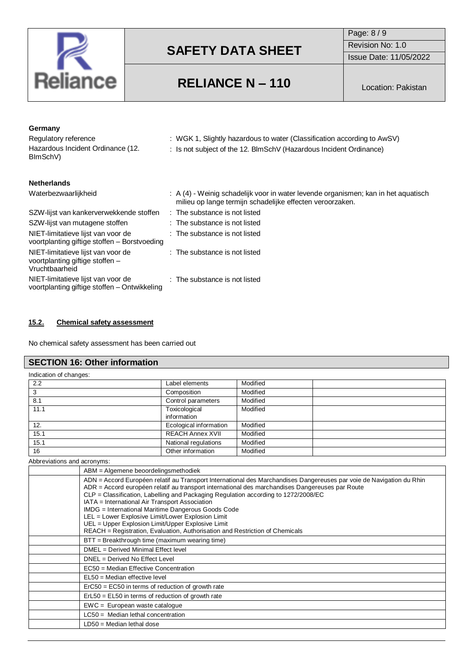

Page: 8 / 9 Revision No: 1.0 Issue Date: 11/05/2022

### **RELIANCE N – 110** Location: Pakistan

| <b>Netherlands</b>                                                                                                                                                                 |  |
|------------------------------------------------------------------------------------------------------------------------------------------------------------------------------------|--|
| $\therefore$ A (4) - Weinig schadelijk voor in water levende organismen; kan in het aguatisch<br>Waterbezwaarlijkheid<br>milieu op lange termijn schadelijke effecten veroorzaken. |  |
| SZW-lijst van kankerverwekkende stoffen<br>$:$ The substance is not listed                                                                                                         |  |
| SZW-lijst van mutagene stoffen<br>: The substance is not listed                                                                                                                    |  |
| NIET-limitatieve lijst van voor de<br>$:$ The substance is not listed<br>voortplanting giftige stoffen - Borstvoeding                                                              |  |
| NIET-limitatieve lijst van voor de<br>$:$ The substance is not listed<br>voortplanting giftige stoffen -<br>Vruchtbaarheid                                                         |  |
| NIET-limitatieve lijst van voor de<br>: The substance is not listed<br>voortplanting giftige stoffen – Ontwikkeling                                                                |  |

### **15.2. Chemical safety assessment**

No chemical safety assessment has been carried out

### **SECTION 16: Other information**

| Indication of changes: |                              |          |  |
|------------------------|------------------------------|----------|--|
| 2.2                    | Label elements               | Modified |  |
| 3                      | Composition                  | Modified |  |
| 8.1                    | Control parameters           | Modified |  |
| 11.1                   | Toxicological<br>information | Modified |  |
| 12.                    | Ecological information       | Modified |  |
| 15.1                   | <b>REACH Annex XVII</b>      | Modified |  |
| 15.1                   | National regulations         | Modified |  |
| 16                     | Other information            | Modified |  |

#### Abbreviations and acronyms:

| ABM = Algemene beoordelingsmethodiek                                                                                                                                                                                                                                                                                                                                                                                                                                                                                                                                                                            |
|-----------------------------------------------------------------------------------------------------------------------------------------------------------------------------------------------------------------------------------------------------------------------------------------------------------------------------------------------------------------------------------------------------------------------------------------------------------------------------------------------------------------------------------------------------------------------------------------------------------------|
| ADN = Accord Européen relatif au Transport International des Marchandises Dangereuses par voie de Navigation du Rhin<br>ADR = Accord européen relatif au transport international des marchandises Dangereuses par Route<br>CLP = Classification, Labelling and Packaging Regulation according to 1272/2008/EC<br>IATA = International Air Transport Association<br>IMDG = International Maritime Dangerous Goods Code<br>LEL = Lower Explosive Limit/Lower Explosion Limit<br>UEL = Upper Explosion Limit/Upper Explosive Limit<br>REACH = Registration, Evaluation, Authorisation and Restriction of Chemicals |
| BTT = Breakthrough time (maximum wearing time)                                                                                                                                                                                                                                                                                                                                                                                                                                                                                                                                                                  |
| DMEL = Derived Minimal Effect level                                                                                                                                                                                                                                                                                                                                                                                                                                                                                                                                                                             |
| DNEL = Derived No Effect Level                                                                                                                                                                                                                                                                                                                                                                                                                                                                                                                                                                                  |
| EC50 = Median Effective Concentration                                                                                                                                                                                                                                                                                                                                                                                                                                                                                                                                                                           |
| $EL50 = Median$ effective level                                                                                                                                                                                                                                                                                                                                                                                                                                                                                                                                                                                 |
| $E0 = E0 = E0$ in terms of reduction of growth rate                                                                                                                                                                                                                                                                                                                                                                                                                                                                                                                                                             |
| $ErL50 = EL50$ in terms of reduction of growth rate                                                                                                                                                                                                                                                                                                                                                                                                                                                                                                                                                             |
| $EWC = European waste catalogue$                                                                                                                                                                                                                                                                                                                                                                                                                                                                                                                                                                                |
| $LC50$ = Median lethal concentration                                                                                                                                                                                                                                                                                                                                                                                                                                                                                                                                                                            |
| $LD50 = Median lethal$ dose                                                                                                                                                                                                                                                                                                                                                                                                                                                                                                                                                                                     |
|                                                                                                                                                                                                                                                                                                                                                                                                                                                                                                                                                                                                                 |